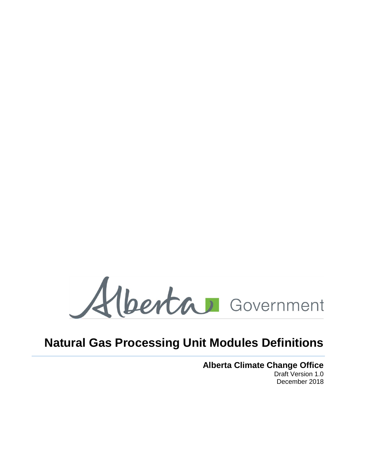Alberta Government

# **Natural Gas Processing Unit Modules Definitions**

**Alberta Climate Change Office** Draft Version 1.0 December 2018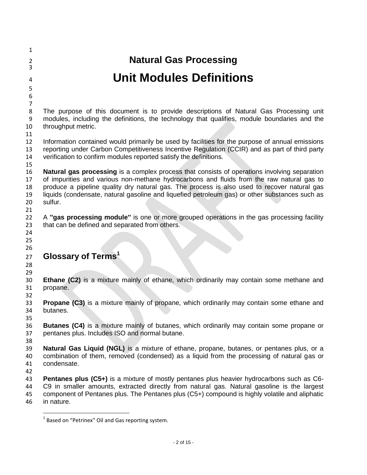| $\mathbf{1}$     |                                                                                                                                                                                               |
|------------------|-----------------------------------------------------------------------------------------------------------------------------------------------------------------------------------------------|
| $\overline{2}$   | <b>Natural Gas Processing</b>                                                                                                                                                                 |
| 3                |                                                                                                                                                                                               |
| 4                | <b>Unit Modules Definitions</b>                                                                                                                                                               |
| $\mathsf S$      |                                                                                                                                                                                               |
| $\boldsymbol{6}$ |                                                                                                                                                                                               |
| $\overline{7}$   |                                                                                                                                                                                               |
| 8                | The purpose of this document is to provide descriptions of Natural Gas Processing unit                                                                                                        |
| 9                | modules, including the definitions, the technology that qualifies, module boundaries and the                                                                                                  |
| 10               | throughput metric.                                                                                                                                                                            |
| 11               |                                                                                                                                                                                               |
| 12               | Information contained would primarily be used by facilities for the purpose of annual emissions                                                                                               |
| 13               | reporting under Carbon Competitiveness Incentive Regulation (CCIR) and as part of third party                                                                                                 |
| 14               | verification to confirm modules reported satisfy the definitions.                                                                                                                             |
| 15               |                                                                                                                                                                                               |
| 16               | <b>Natural gas processing</b> is a complex process that consists of operations involving separation                                                                                           |
| 17               | of impurities and various non-methane hydrocarbons and fluids from the raw natural gas to                                                                                                     |
| 18<br>19         | produce a pipeline quality dry natural gas. The process is also used to recover natural gas<br>liquids (condensate, natural gasoline and liquefied petroleum gas) or other substances such as |
| 20               | sulfur.                                                                                                                                                                                       |
| 21               |                                                                                                                                                                                               |
| 22               | A "gas processing module" is one or more grouped operations in the gas processing facility                                                                                                    |
| 23               | that can be defined and separated from others.                                                                                                                                                |
| 24               |                                                                                                                                                                                               |
| 25               |                                                                                                                                                                                               |
| 26               |                                                                                                                                                                                               |
| 27               | Glossary of Terms <sup>1</sup>                                                                                                                                                                |
| 28               |                                                                                                                                                                                               |
| 29               |                                                                                                                                                                                               |
| 30               | Ethane (C2) is a mixture mainly of ethane, which ordinarily may contain some methane and                                                                                                      |
| 31               | propane.                                                                                                                                                                                      |
| 32               |                                                                                                                                                                                               |
| 33               | <b>Propane (C3)</b> is a mixture mainly of propane, which ordinarily may contain some ethane and                                                                                              |
| 34               | butanes.                                                                                                                                                                                      |
| 35               |                                                                                                                                                                                               |
| 36               | <b>Butanes (C4)</b> is a mixture mainly of butanes, which ordinarily may contain some propane or                                                                                              |
| 37               | pentanes plus. Includes ISO and normal butane.                                                                                                                                                |
| 38<br>39         | Natural Gas Liquid (NGL) is a mixture of ethane, propane, butanes, or pentanes plus, or a                                                                                                     |
| 40               | combination of them, removed (condensed) as a liquid from the processing of natural gas or                                                                                                    |
| 41               | condensate.                                                                                                                                                                                   |
| 42               |                                                                                                                                                                                               |
| 43               | <b>Pentanes plus (C5+)</b> is a mixture of mostly pentanes plus heavier hydrocarbons such as C6-                                                                                              |
| 44               | C9 in smaller amounts, extracted directly from natural gas. Natural gasoline is the largest                                                                                                   |
| 45               | component of Pentanes plus. The Pentanes plus (C5+) compound is highly volatile and aliphatic                                                                                                 |
| 46               | in nature.                                                                                                                                                                                    |

 1 Based on "Petrinex" Oil and Gas reporting system.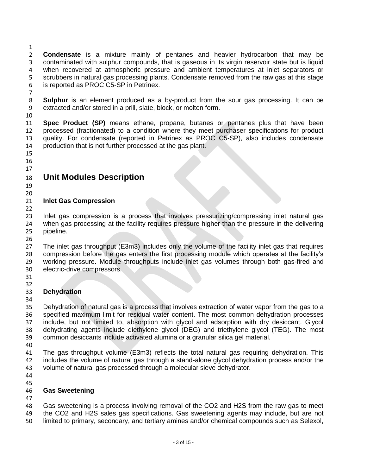**Condensate** is a mixture mainly of pentanes and heavier hydrocarbon that may be contaminated with sulphur compounds, that is gaseous in its virgin reservoir state but is liquid when recovered at atmospheric pressure and ambient temperatures at inlet separators or scrubbers in natural gas processing plants. Condensate removed from the raw gas at this stage is reported as PROC C5-SP in Petrinex.

 **Sulphur** is an element produced as a by-product from the sour gas processing. It can be extracted and/or stored in a prill, slate, block, or molten form.

 **Spec Product (SP)** means ethane, propane, butanes or pentanes plus that have been processed (fractionated) to a condition where they meet purchaser specifications for product quality. For condensate (reported in Petrinex as PROC C5-SP), also includes condensate production that is not further processed at the gas plant.

#### 

#### **Unit Modules Description**

 

#### **Inlet Gas Compression**

 Inlet gas compression is a process that involves pressurizing/compressing inlet natural gas when gas processing at the facility requires pressure higher than the pressure in the delivering pipeline.

 The inlet gas throughput (E3m3) includes only the volume of the facility inlet gas that requires compression before the gas enters the first processing module which operates at the facility's working pressure. Module throughputs include inlet gas volumes through both gas-fired and electric-drive compressors.

 

### **Dehydration**

 Dehydration of natural gas is a process that involves extraction of water vapor from the gas to a specified maximum limit for residual water content. The most common dehydration processes 37 include, but not limited to, absorption with glycol and adsorption with dry desiccant. Glycol<br>38 dehydrating agents include diethylene glycol (DEG) and triethylene glycol (TEG). The most dehydrating agents include diethylene glycol (DEG) and triethylene glycol (TEG). The most common desiccants include activated alumina or a granular silica gel material.

 The gas throughput volume (E3m3) reflects the total natural gas requiring dehydration. This includes the volume of natural gas through a stand-alone glycol dehydration process and/or the volume of natural gas processed through a molecular sieve dehydrator.

#### **Gas Sweetening**

#### 

 Gas sweetening is a process involving removal of the CO2 and H2S from the raw gas to meet the CO2 and H2S sales gas specifications. Gas sweetening agents may include, but are not limited to primary, secondary, and tertiary amines and/or chemical compounds such as Selexol,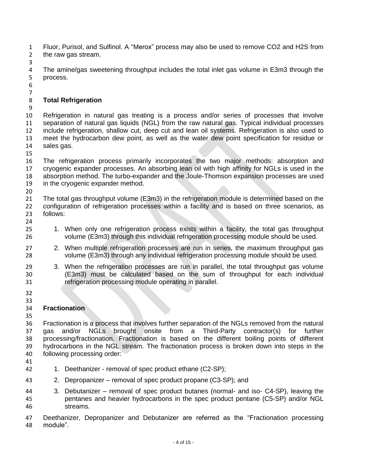Fluor, Purisol, and Sulfinol. A "Merox" process may also be used to remove CO2 and H2S from the raw gas stream.

The amine/gas sweetening throughput includes the total inlet gas volume in E3m3 through the process.

 

### **Total Refrigeration**

9<br>10 Refrigeration in natural gas treating is a process and/or series of processes that involve separation of natural gas liquids (NGL) from the raw natural gas. Typical individual processes include refrigeration, shallow cut, deep cut and lean oil systems. Refrigeration is also used to meet the hydrocarbon dew point, as well as the water dew point specification for residue or sales gas.

 The refrigeration process primarily incorporates the two major methods: absorption and cryogenic expander processes. An absorbing lean oil with high affinity for NGLs is used in the absorption method. The turbo-expander and the Joule-Thomson expansion processes are used in the cryogenic expander method.

 The total gas throughput volume (E3m3) in the refrigeration module is determined based on the configuration of refrigeration processes within a facility and is based on three scenarios, as follows:

 1. When only one refrigeration process exists within a facility, the total gas throughput volume (E3m3) through this individual refrigeration processing module should be used.

- 2. When multiple refrigeration processes are run in series, the maximum throughput gas volume (E3m3) through any individual refrigeration processing module should be used.
- 3. When the refrigeration processes are run in parallel, the total throughput gas volume (E3m3) must be calculated based on the sum of throughput for each individual refrigeration processing module operating in parallel.
- 
- 33<br>34

### **Fractionation**

 Fractionation is a process that involves further separation of the NGLs removed from the natural gas and/or NGLs brought onsite from a Third-Party contractor(s) for further 38 processing/fractionation. Fractionation is based on the different boiling points of different<br>39 hydrocarbons in the NGL stream. The fractionation process is broken down into steps in the hydrocarbons in the NGL stream. The fractionation process is broken down into steps in the following processing order:

- 
- 1. Deethanizer removal of spec product ethane (C2-SP);
- 2. Depropanizer removal of spec product propane (C3-SP); and

 3. Debutanizer – removal of spec product butanes (normal- and iso- C4-SP), leaving the pentanes and heavier hydrocarbons in the spec product pentane (C5-SP) and/or NGL streams.

47 Deethanizer, Depropanizer and Debutanizer are referred as the "Fractionation processing<br>48 module". module".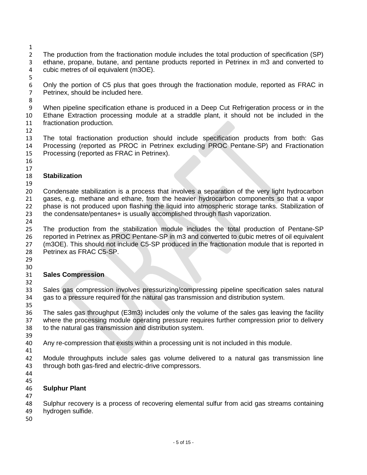- 
- The production from the fractionation module includes the total production of specification (SP) ethane, propane, butane, and pentane products reported in Petrinex in m3 and converted to cubic metres of oil equivalent (m3OE).
- 

 Only the portion of C5 plus that goes through the fractionation module, reported as FRAC in Petrinex, should be included here.

 When pipeline specification ethane is produced in a Deep Cut Refrigeration process or in the Ethane Extraction processing module at a straddle plant, it should not be included in the fractionation production.

 The total fractionation production should include specification products from both: Gas Processing (reported as PROC in Petrinex excluding PROC Pentane-SP) and Fractionation Processing (reported as FRAC in Petrinex).

 

#### **Stabilization**

 Condensate stabilization is a process that involves a separation of the very light hydrocarbon gases, e.g. methane and ethane, from the heavier hydrocarbon components so that a vapor phase is not produced upon flashing the liquid into atmospheric storage tanks. Stabilization of the condensate/pentanes+ is usually accomplished through flash vaporization.

 The production from the stabilization module includes the total production of Pentane-SP reported in Petrinex as PROC Pentane-SP in m3 and converted to cubic metres of oil equivalent (m3OE). This should not include C5-SP produced in the fractionation module that is reported in Petrinex as FRAC C5-SP.

 

#### **Sales Compression**

 Sales gas compression involves pressurizing/compressing pipeline specification sales natural gas to a pressure required for the natural gas transmission and distribution system. 

 The sales gas throughput (E3m3) includes only the volume of the sales gas leaving the facility where the processing module operating pressure requires further compression prior to delivery to the natural gas transmission and distribution system.

- 39<br>40 Any re-compression that exists within a processing unit is not included in this module.
- 

 Module throughputs include sales gas volume delivered to a natural gas transmission line through both gas-fired and electric-drive compressors.

- 
- 

#### **Sulphur Plant**

Sulphur recovery is a process of recovering elemental sulfur from acid gas streams containing

- hydrogen sulfide.
-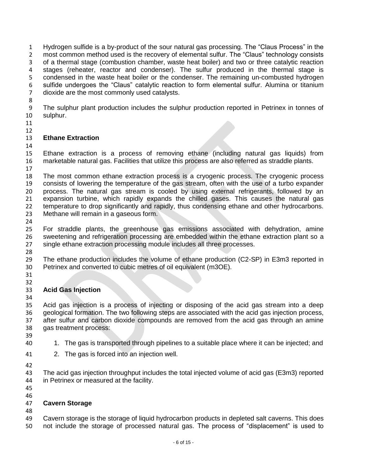Hydrogen sulfide is a by-product of the sour natural gas processing. The "Claus Process" in the most common method used is the recovery of elemental sulfur. The "Claus" technology consists of a thermal stage (combustion chamber, waste heat boiler) and two or three catalytic reaction stages (reheater, reactor and condenser). The sulfur produced in the thermal stage is condensed in the waste heat boiler or the condenser. The remaining un-combusted hydrogen sulfide undergoes the "Claus" catalytic reaction to form elemental sulfur. Alumina or titanium dioxide are the most commonly used catalysts.

9 The sulphur plant production includes the sulphur production reported in Petrinex in tonnes of 30 sulphur. sulphur.

 

#### **Ethane Extraction**

 Ethane extraction is a process of removing ethane (including natural gas liquids) from marketable natural gas. Facilities that utilize this process are also referred as straddle plants. 

 The most common ethane extraction process is a cryogenic process. The cryogenic process consists of lowering the temperature of the gas stream, often with the use of a turbo expander process. The natural gas stream is cooled by using external refrigerants, followed by an expansion turbine, which rapidly expands the chilled gases. This causes the natural gas temperature to drop significantly and rapidly, thus condensing ethane and other hydrocarbons. Methane will remain in a gaseous form.

 For straddle plants, the greenhouse gas emissions associated with dehydration, amine sweetening and refrigeration processing are embedded within the ethane extraction plant so a single ethane extraction processing module includes all three processes.

 The ethane production includes the volume of ethane production (C2-SP) in E3m3 reported in Petrinex and converted to cubic metres of oil equivalent (m3OE).

 

#### **Acid Gas Injection**

 Acid gas injection is a process of injecting or disposing of the acid gas stream into a deep geological formation. The two following steps are associated with the acid gas injection process, after sulfur and carbon dioxide compounds are removed from the acid gas through an amine gas treatment process:

- 39<br>40 1. The gas is transported through pipelines to a suitable place where it can be injected; and
- 2. The gas is forced into an injection well.
- 

 The acid gas injection throughput includes the total injected volume of acid gas (E3m3) reported in Petrinex or measured at the facility.

 

#### **Cavern Storage**

 Cavern storage is the storage of liquid hydrocarbon products in depleted salt caverns. This does not include the storage of processed natural gas. The process of "displacement" is used to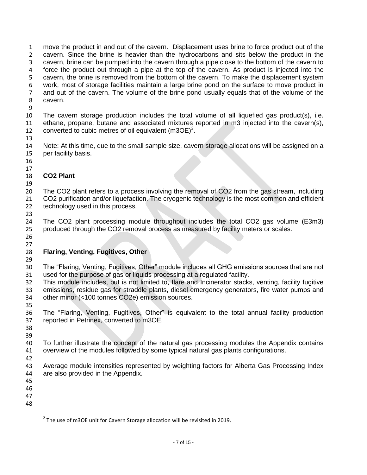move the product in and out of the cavern. Displacement uses brine to force product out of the cavern. Since the brine is heavier than the hydrocarbons and sits below the product in the cavern, brine can be pumped into the cavern through a pipe close to the bottom of the cavern to force the product out through a pipe at the top of the cavern. As product is injected into the cavern, the brine is removed from the bottom of the cavern. To make the displacement system work, most of storage facilities maintain a large brine pond on the surface to move product in and out of the cavern. The volume of the brine pond usually equals that of the volume of the cavern.

9<br>10 The cavern storage production includes the total volume of all liquefied gas product(s), i.e. ethane, propane, butane and associated mixtures reported in m3 injected into the cavern(s), 12 converted to cubic metres of oil equivalent  $(m3OE)^2$ .

 Note: At this time, due to the small sample size, cavern storage allocations will be assigned on a per facility basis.

#### **CO2 Plant**

 The CO2 plant refers to a process involving the removal of CO2 from the gas stream, including 21 CO2 purification and/or liquefaction. The cryogenic technology is the most common and efficient technology used in this process.

 The CO2 plant processing module throughput includes the total CO2 gas volume (E3m3) produced through the CO2 removal process as measured by facility meters or scales.

 

#### **Flaring, Venting, Fugitives, Other**

 The "Flaring, Venting, Fugitives, Other" module includes all GHG emissions sources that are not used for the purpose of gas or liquids processing at a regulated facility.

 This module includes, but is not limited to, flare and Incinerator stacks, venting, facility fugitive emissions, residue gas for straddle plants, diesel emergency generators, fire water pumps and other minor (<100 tonnes CO2e) emission sources. 

 The "Flaring, Venting, Fugitives, Other" is equivalent to the total annual facility production reported in Petrinex, converted to m3OE.

39<br>40 To further illustrate the concept of the natural gas processing modules the Appendix contains overview of the modules followed by some typical natural gas plants configurations.

 Average module intensities represented by weighting factors for Alberta Gas Processing Index are also provided in the Appendix.

- 
- 
- 

 $\overline{\phantom{a}}$ 

 $^2$  The use of m3OE unit for Cavern Storage allocation will be revisited in 2019.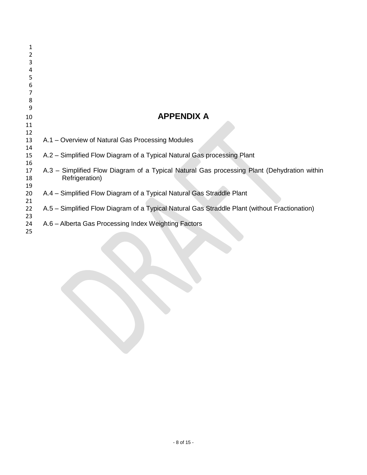| 1        |                                                                                               |
|----------|-----------------------------------------------------------------------------------------------|
| 2        |                                                                                               |
| 3        |                                                                                               |
| 4        |                                                                                               |
| 5        |                                                                                               |
| 6        |                                                                                               |
|          |                                                                                               |
| 8        |                                                                                               |
| 9        |                                                                                               |
| 10       | <b>APPENDIX A</b>                                                                             |
| 11       |                                                                                               |
| 12       |                                                                                               |
| 13       | A.1 – Overview of Natural Gas Processing Modules                                              |
| 14       |                                                                                               |
| 15       | A.2 - Simplified Flow Diagram of a Typical Natural Gas processing Plant                       |
| 16       |                                                                                               |
| 17       | A.3 - Simplified Flow Diagram of a Typical Natural Gas processing Plant (Dehydration within   |
| 18       | Refrigeration)                                                                                |
| 19       |                                                                                               |
| 20       | A.4 – Simplified Flow Diagram of a Typical Natural Gas Straddle Plant                         |
| 21       |                                                                                               |
| 22       | A.5 – Simplified Flow Diagram of a Typical Natural Gas Straddle Plant (without Fractionation) |
| 23       | A.6 - Alberta Gas Processing Index Weighting Factors                                          |
| 24<br>25 |                                                                                               |
|          |                                                                                               |
|          |                                                                                               |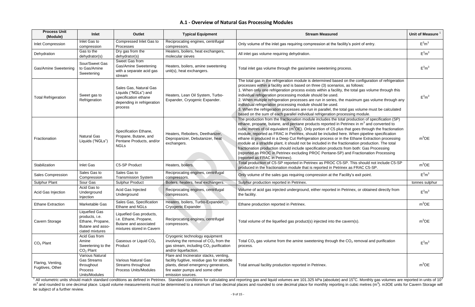### **A.1 - Overview of Natural Gas Processing Modules**

| <b>Process Unit</b><br>(Module)                                                                                                                                                                                                        | Inlet                                                                                             | Outlet                                                                                                          | <b>Typical Equipment</b>                                                                                                                                                              | <b>Stream Measured</b>                                                                                                                                                                                                                                                                                                                                                                                                                                                                                                                                                                                                                                                                                                                                                                                                                        | <b>Unit of Measure</b> |  |  |
|----------------------------------------------------------------------------------------------------------------------------------------------------------------------------------------------------------------------------------------|---------------------------------------------------------------------------------------------------|-----------------------------------------------------------------------------------------------------------------|---------------------------------------------------------------------------------------------------------------------------------------------------------------------------------------|-----------------------------------------------------------------------------------------------------------------------------------------------------------------------------------------------------------------------------------------------------------------------------------------------------------------------------------------------------------------------------------------------------------------------------------------------------------------------------------------------------------------------------------------------------------------------------------------------------------------------------------------------------------------------------------------------------------------------------------------------------------------------------------------------------------------------------------------------|------------------------|--|--|
| <b>Inlet Compression</b>                                                                                                                                                                                                               | Inlet Gas to<br>compression                                                                       | Compressed Inlet Gas to<br>Processes                                                                            | Reciprocating engines, centrifugal<br>compressors.                                                                                                                                    | Only volume of the inlet gas requiring compression at the facility's point of entry.                                                                                                                                                                                                                                                                                                                                                                                                                                                                                                                                                                                                                                                                                                                                                          | $E^3m^3$               |  |  |
| Dehydration                                                                                                                                                                                                                            | Gas to the<br>dehydrator(s)                                                                       | Dry gas from the<br>dehydrator(s)                                                                               | Heaters, boilers, heat exchangers,<br>molecular sieves                                                                                                                                | All inlet gas volume requiring dehydration.                                                                                                                                                                                                                                                                                                                                                                                                                                                                                                                                                                                                                                                                                                                                                                                                   | $E^3m^3$               |  |  |
| Gas/Amine Sweetening                                                                                                                                                                                                                   | Sour/Sweet Gas<br>to Gas/Amine<br>Sweetening                                                      | Sweet Gas from<br>Gas/Amine Sweetening<br>with a separate acid gas<br>stream                                    | Heaters, boilers, amine sweetening<br>unit(s), heat exchangers.                                                                                                                       | Total inlet gas volume through the gas/amine sweetening process.                                                                                                                                                                                                                                                                                                                                                                                                                                                                                                                                                                                                                                                                                                                                                                              | $E^3m^3$               |  |  |
| <b>Total Refrigeration</b>                                                                                                                                                                                                             | Sweet gas to<br>Refrigeration                                                                     | Sales Gas, Natural Gas<br>Liquids ("NGLs") and<br>specification ethane<br>depending in refrigeration<br>process | Heaters, Lean Oil System, Turbo-<br>Expander, Cryogenic Expander.                                                                                                                     | The total gas in the refrigeration module is determined based on the configuration of refrigeration<br>processes within a facility and is based on three (3) scenarios, as follows:<br>1. When only one refrigeration process exists within a facility, the total gas volume through this<br>individual refrigeration processing module should be used.<br>2. When multiple refrigeration processes are run in series, the maximum gas volume through any<br>individual refrigeration processing module should be used.<br>3. When the refrigeration processes are run in parallel, the total gas volume must be calculated<br>based on the sum of each parallel individual refrigeration processing module.                                                                                                                                  | $E^3m^3$               |  |  |
| Fractionation                                                                                                                                                                                                                          | <b>Natural Gas</b><br>Liquids ("NGLs")                                                            | Specification Ethane,<br>Propane, Butane, and<br>Pentane Products, and/or<br><b>NGLs</b>                        | Heaters, Reboilers, Deethanizer,<br>Depropanizer, Debutanizer, heat<br>exchangers.                                                                                                    | The production from the fractionation module includes the total production of specification (SP)<br>ethane, propane, butane, and pentane products reported in Petrinex in $m3$ and converted to<br>cubic metres of oil equivalent (m <sup>3</sup> OE). Only portion of C5 plus that goes through the fractionation<br>module, reported as FRAC in Petrinex, should be included here. When pipeline specification<br>ethane is produced in a Deep Cut Refrigeration process or in the Ethane Extraction processing<br>module at a straddle plant, it should not be included in the fractionation production. The total<br>fractionation production should include specification products from both: Gas Processing<br>(reported as PROC in Petrinex excluding PROC Pentane-SP) and Fractionation Processing<br>(reported as FRAC in Petrinex). | $m^3$ OE               |  |  |
| Stabilization                                                                                                                                                                                                                          | <b>Inlet Gas</b>                                                                                  | C5-SP Product                                                                                                   | Heaters, boilers.                                                                                                                                                                     | Total production of C5-SP reported in Petrinex as PROC C5-SP. This should not include C5-SP<br>produced in the fractionation module that is reported in Petrinex as FRAC C5-SP.                                                                                                                                                                                                                                                                                                                                                                                                                                                                                                                                                                                                                                                               | $m^3$ OE               |  |  |
| <b>Sales Compression</b>                                                                                                                                                                                                               | Sales Gas to<br>Compression                                                                       | Sales Gas to<br><b>Transmission System</b>                                                                      | Reciprocating engines, centrifugal<br>compressors.                                                                                                                                    | Only volume of the sales gas requiring compression at the Facility's exit point.                                                                                                                                                                                                                                                                                                                                                                                                                                                                                                                                                                                                                                                                                                                                                              | $E^3m^3$               |  |  |
| <b>Sulphur Plant</b>                                                                                                                                                                                                                   | Sour Gas                                                                                          | <b>Sulphur Product</b>                                                                                          | Boilers, heaters, heat exchangers.                                                                                                                                                    | Sulphur production reported in Petrinex.                                                                                                                                                                                                                                                                                                                                                                                                                                                                                                                                                                                                                                                                                                                                                                                                      | tonnes sulphur         |  |  |
| Acid Gas Injection                                                                                                                                                                                                                     | Acid Gas to<br>Underground<br>Injection                                                           | Acid Gas Injected<br>Underground                                                                                | Reciprocating engines, centrifugal<br>compressors.                                                                                                                                    | Volume of acid gas injected underground, either reported in Petrinex, or obtained directly from<br>the facility.                                                                                                                                                                                                                                                                                                                                                                                                                                                                                                                                                                                                                                                                                                                              | $E^3m^3$               |  |  |
| <b>Ethane Extraction</b>                                                                                                                                                                                                               | Marketable Gas                                                                                    | Sales Gas, Specification<br>Ethane and NGLs                                                                     | Heaters, boilers, Turbo-Expander,<br>Cryogenic Expander                                                                                                                               | Ethane production reported in Petrinex.                                                                                                                                                                                                                                                                                                                                                                                                                                                                                                                                                                                                                                                                                                                                                                                                       | $m^3$ OE               |  |  |
| Cavern Storage                                                                                                                                                                                                                         | <b>Liquefied Gas</b><br>products, i.e.<br>Ethane, Propane,<br>Butane and asso-<br>ciated mixtures | Liquefied Gas products,<br>i.e. Ethane, Propane,<br>Butane and associated<br>mixtures stored in Cavern          | Reciprocating engines, centrifugal<br>compressors.                                                                                                                                    | Total volume of the liquefied gas product(s) injected into the cavern(s).                                                                                                                                                                                                                                                                                                                                                                                                                                                                                                                                                                                                                                                                                                                                                                     | $m^3$ OE               |  |  |
| $CO2$ Plant                                                                                                                                                                                                                            | Acid Gas from<br>Amine<br>Sweetening to the<br>$CO2$ Plant                                        | Gaseous or Liquid CO <sub>2</sub><br>Product                                                                    | Cryogenic technology equipment<br>involving the removal of $CO2$ from the<br>gas stream, including CO <sub>2</sub> purification<br>and/or liquefaction.                               | Total CO <sub>2</sub> gas volume from the amine sweetening through the $CO2$ removal and purification<br>process.                                                                                                                                                                                                                                                                                                                                                                                                                                                                                                                                                                                                                                                                                                                             | $E^3m^3$               |  |  |
| Flaring, Venting,<br>Fugitives, Other                                                                                                                                                                                                  | Various Natural<br><b>Gas Streams</b><br>throughout<br>Process<br>Units/Modules                   | Various Natural Gas<br>Streams throughout<br>Process Units/Modules                                              | Flare and Incinerator stacks, venting,<br>facility fugitive, residue gas for straddle<br>plants, diesel emergency generators,<br>fire water pumps and some other<br>emission sources. | Total annual facility production reported in Petrinex.                                                                                                                                                                                                                                                                                                                                                                                                                                                                                                                                                                                                                                                                                                                                                                                        | $m^3$ OE               |  |  |
| <sup>1</sup> All volumetric units should match standard conditions as defined in Petrinex. Standard conditions for calculating and reporting gas and liquid volumes are 101.325 kPa (absolute) and 15°C. Monthly gas volumes are repor |                                                                                                   |                                                                                                                 |                                                                                                                                                                                       |                                                                                                                                                                                                                                                                                                                                                                                                                                                                                                                                                                                                                                                                                                                                                                                                                                               |                        |  |  |

m<sup>3</sup> and rounded to one decimal place. Liquid volume measurements must be determined to a minimum of two decimal places and rounded to one decimal place for monthly reporting in cubic metres (m<sup>3</sup>). m3OE units for Cavern S be subject of a further review.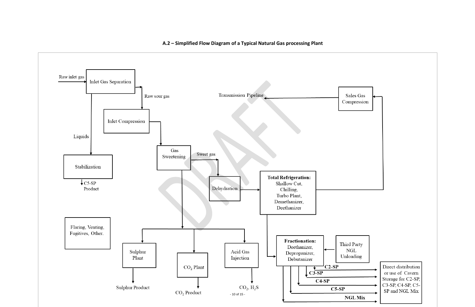

### **A.2 – Simplified Flow Diagram of a Typical Natural Gas processing Plant**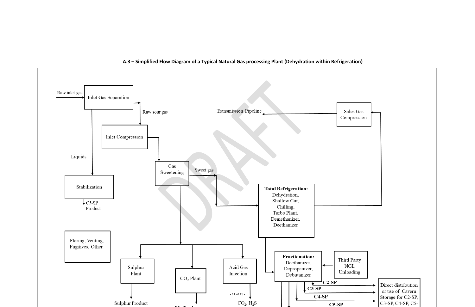

**A.3 – Simplified Flow Diagram of a Typical Natural Gas processing Plant (Dehydration within Refrigeration)**

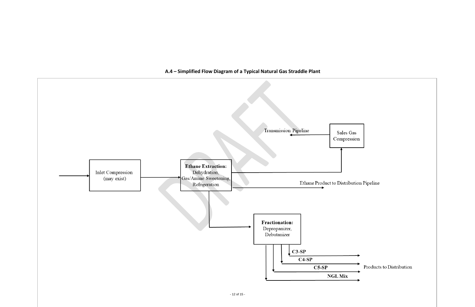Products to Distribution



# **A.4 – Simplified Flow Diagram of a Typical Natural Gas Straddle Plant**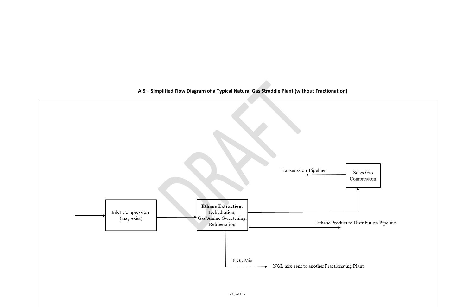

**A.5 – Simplified Flow Diagram of a Typical Natural Gas Straddle Plant (without Fractionation)**